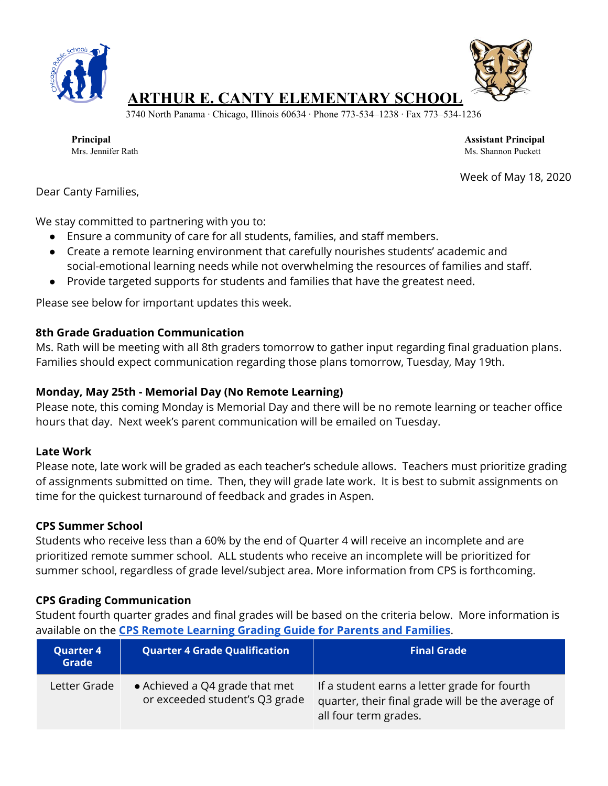



# **ARTHUR E. CANTY ELEMENTARY SCHOOL**

3740 North Panama ∙ Chicago, Illinois 60634 ∙ Phone 773-534–1238 ∙ Fax 773–534-1236

**Principal Assistant Principal** Mrs. Jennifer Rath Ms. Shannon Puckett

Week of May 18, 2020

Dear Canty Families,

We stay committed to partnering with you to:

- Ensure a community of care for all students, families, and staff members.
- Create a remote learning environment that carefully nourishes students' academic and social-emotional learning needs while not overwhelming the resources of families and staff.
- Provide targeted supports for students and families that have the greatest need.

Please see below for important updates this week.

#### **8th Grade Graduation Communication**

Ms. Rath will be meeting with all 8th graders tomorrow to gather input regarding final graduation plans. Families should expect communication regarding those plans tomorrow, Tuesday, May 19th.

## **Monday, May 25th - Memorial Day (No Remote Learning)**

Please note, this coming Monday is Memorial Day and there will be no remote learning or teacher office hours that day. Next week's parent communication will be emailed on Tuesday.

#### **Late Work**

Please note, late work will be graded as each teacher's schedule allows. Teachers must prioritize grading of assignments submitted on time. Then, they will grade late work. It is best to submit assignments on time for the quickest turnaround of feedback and grades in Aspen.

## **CPS Summer School**

Students who receive less than a 60% by the end of Quarter 4 will receive an incomplete and are prioritized remote summer school. ALL students who receive an incomplete will be prioritized for summer school, regardless of grade level/subject area. More information from CPS is forthcoming.

## **CPS Grading Communication**

Student fourth quarter grades and final grades will be based on the criteria below. More information is available on the **CPS Remote [Learning](https://cps.edu/SiteCollectionDocuments/remote-learning-grading-guide.pdf) Grading Guide for Parents and Families**.

| <b>Quarter 4</b><br>Grade | <b>Quarter 4 Grade Qualification</b>                             | <b>Final Grade</b>                                                                                                         |
|---------------------------|------------------------------------------------------------------|----------------------------------------------------------------------------------------------------------------------------|
| Letter Grade              | • Achieved a Q4 grade that met<br>or exceeded student's Q3 grade | If a student earns a letter grade for fourth<br>quarter, their final grade will be the average of<br>all four term grades. |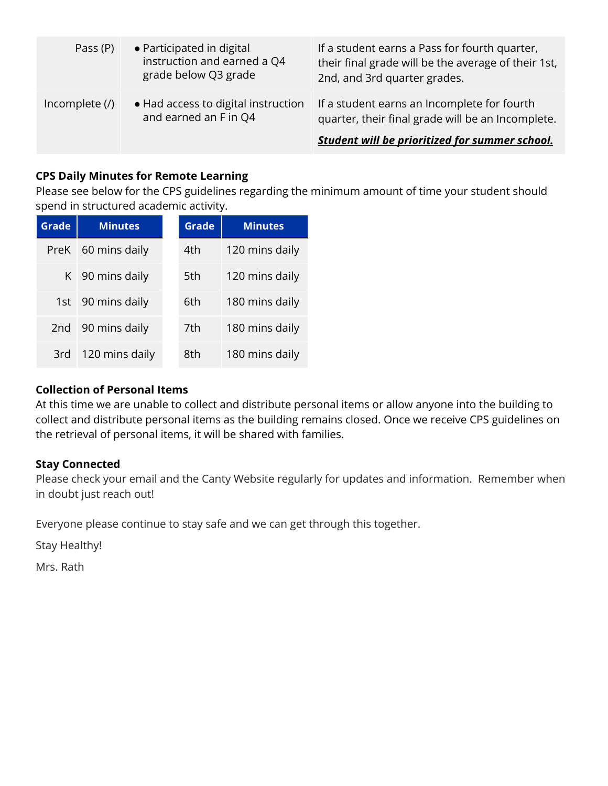| Pass (P)       | • Participated in digital<br>instruction and earned a Q4<br>grade below Q3 grade | If a student earns a Pass for fourth quarter,<br>their final grade will be the average of their 1st,<br>2nd, and 3rd quarter grades.                      |
|----------------|----------------------------------------------------------------------------------|-----------------------------------------------------------------------------------------------------------------------------------------------------------|
| Incomplete (/) | • Had access to digital instruction<br>and earned an F in Q4                     | If a student earns an Incomplete for fourth<br>quarter, their final grade will be an Incomplete.<br><b>Student will be prioritized for summer school.</b> |

## **CPS Daily Minutes for Remote Learning**

Please see below for the CPS guidelines regarding the minimum amount of time your student should spend in structured academic activity.

| <b>Grade</b>    | <b>Minutes</b>     | <b>Grade</b> | <b>Minutes</b> |
|-----------------|--------------------|--------------|----------------|
|                 | PreK 60 mins daily | 4th          | 120 mins daily |
|                 | K 90 mins daily    | 5th          | 120 mins daily |
|                 | 1st 90 mins daily  | 6th          | 180 mins daily |
| 2 <sub>nd</sub> | 90 mins daily      | 7th          | 180 mins daily |
| 3rd             | 120 mins daily     | 8th          | 180 mins daily |

## **Collection of Personal Items**

At this time we are unable to collect and distribute personal items or allow anyone into the building to collect and distribute personal items as the building remains closed. Once we receive CPS guidelines on the retrieval of personal items, it will be shared with families.

## **Stay Connected**

Please check your email and the Canty Website regularly for updates and information. Remember when in doubt just reach out!

Everyone please continue to stay safe and we can get through this together.

Stay Healthy!

Mrs. Rath